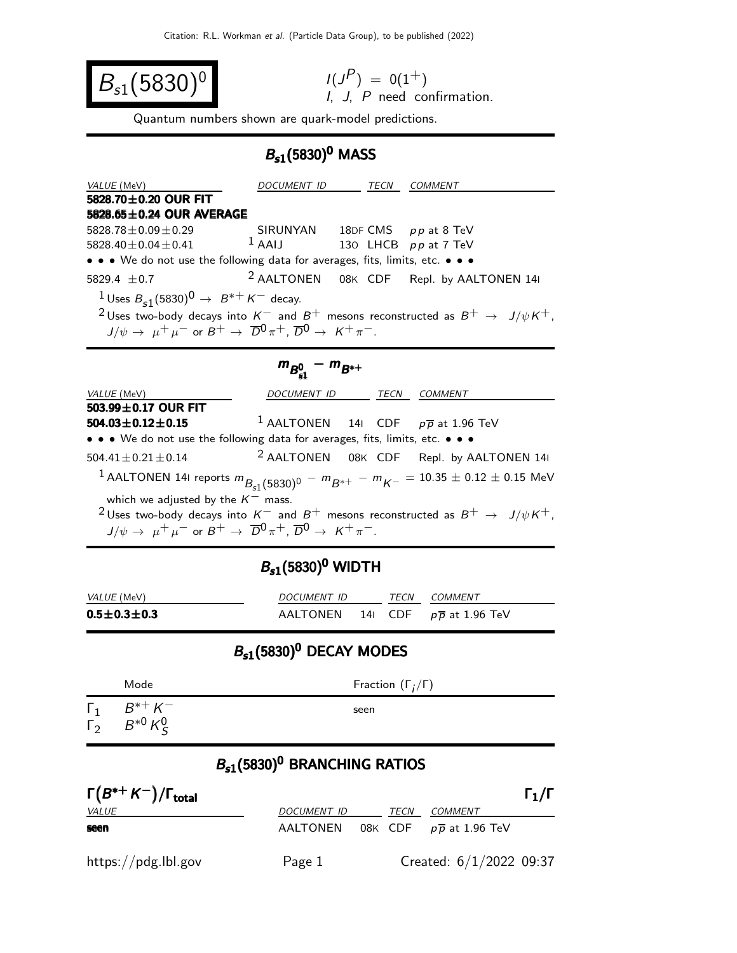$$
B_{s1}(5830)^{0}
$$

$$
I(JP) = 0(1+)
$$
  
I, J, P need confirmation.

Quantum numbers shown are quark-model predictions.

## $B_{s1}(5830)^{0}$  MASS

| VALUE (MeV)                                                                                                                                | DOCUMENT ID                 |  | TECN COMMENT                                        |  |  |
|--------------------------------------------------------------------------------------------------------------------------------------------|-----------------------------|--|-----------------------------------------------------|--|--|
| 5828.70 $\pm$ 0.20 OUR FIT                                                                                                                 |                             |  |                                                     |  |  |
| $5828.65 \pm 0.24$ OUR AVERAGE                                                                                                             |                             |  |                                                     |  |  |
| $5828.78 \pm 0.09 \pm 0.29$                                                                                                                | SIRUNYAN                    |  | 18DF CMS pp at 8 TeV                                |  |  |
| 5828.40 $\pm$ 0.04 $\pm$ 0.41 $\phantom{00}$ 1 AAIJ                                                                                        |                             |  | 130 LHCB pp at 7 TeV                                |  |  |
| • • • We do not use the following data for averages, fits, limits, etc. • • •                                                              |                             |  |                                                     |  |  |
| 5829.4 $\pm$ 0.7                                                                                                                           |                             |  | <sup>2</sup> AALTONEN 08K CDF Repl. by AALTONEN 14I |  |  |
| <sup>1</sup> Uses $B_{s1}(5830)^{0} \rightarrow B^{*+}K^{-}$ decay.                                                                        |                             |  |                                                     |  |  |
| <sup>2</sup> Uses two-body decays into $K^-$ and $B^+$ mesons reconstructed as $B^+ \rightarrow J/\psi K^+$ ,                              |                             |  |                                                     |  |  |
| $J/\psi \rightarrow \mu^+ \mu^-$ or $B^+ \rightarrow \overline{D}^0 \pi^+$ , $\overline{D}^0 \rightarrow K^+ \pi^-$ .                      |                             |  |                                                     |  |  |
|                                                                                                                                            |                             |  |                                                     |  |  |
|                                                                                                                                            | $m_{B_{e1}^0} - m_{B^{*+}}$ |  |                                                     |  |  |
| VALUE (MeV)                                                                                                                                | DOCUMENT ID TECN COMMENT    |  |                                                     |  |  |
| 503.99 $\pm$ 0.17 OUR FIT                                                                                                                  |                             |  |                                                     |  |  |
| $504.03 \pm 0.12 \pm 0.15$                                                                                                                 |                             |  |                                                     |  |  |
| <sup>1</sup> AALTONEN 141 CDF $p\overline{p}$ at 1.96 TeV<br>• • • We do not use the following data for averages, fits, limits, etc. • • • |                             |  |                                                     |  |  |
| $504.41 \pm 0.21 \pm 0.14$                                                                                                                 |                             |  | <sup>2</sup> AALTONEN 08K CDF Repl. by AALTONEN 14I |  |  |
|                                                                                                                                            |                             |  |                                                     |  |  |
| $^{-1}$ AALTONEN 141 reports $m_{B_{s1}(5830)^0} - m_{B^{*+}} - m_{K^-} = 10.35 \pm 0.12 \pm 0.15$ MeV                                     |                             |  |                                                     |  |  |
| which we adjusted by the $K^-$ mass.                                                                                                       |                             |  |                                                     |  |  |
| <sup>2</sup> Uses two-body decays into $K^-$ and $B^+$ mesons reconstructed as $B^+$ $\rightarrow$ $J/\psi K^+,$                           |                             |  |                                                     |  |  |
| $J/\psi \rightarrow \mu^+ \mu^-$ or $B^+ \rightarrow \overline{D}^0 \pi^+$ , $\overline{D}^0 \rightarrow K^+ \pi^-$ .                      |                             |  |                                                     |  |  |
|                                                                                                                                            |                             |  |                                                     |  |  |
| $B_{s1}(5830)^0$ WIDTH                                                                                                                     |                             |  |                                                     |  |  |
|                                                                                                                                            |                             |  |                                                     |  |  |
|                                                                                                                                            |                             |  |                                                     |  |  |

| VALUE (MeV)           | <i>DOCUMENT ID</i> |  | TFCN | COMMENT                                      |  |
|-----------------------|--------------------|--|------|----------------------------------------------|--|
| $0.5 \pm 0.3 \pm 0.3$ |                    |  |      | AALTONEN 141 CDF $p\overline{p}$ at 1.96 TeV |  |

## $B_{s1}$ (5830)<sup>0</sup> DECAY MODES

| Mode                                            | Fraction $(\Gamma_i/\Gamma)$ |
|-------------------------------------------------|------------------------------|
| $\Gamma_1$ $B^{*+} K^-$<br>$F_2$ $B^{*0} K^0_S$ | seen                         |

## $B_{s1}(5830)^0$  BRANCHING RATIOS

| $\Gamma(B^{*+}K^-)/\Gamma_{\text{total}}$ |                    |      |                                              | $\Gamma_1/\Gamma$ |
|-------------------------------------------|--------------------|------|----------------------------------------------|-------------------|
| <u>VALUE</u>                              | <i>DOCUMENT ID</i> | TECN | <i>COMMENT</i>                               |                   |
| seen                                      |                    |      | AALTONEN 08K CDF $p\overline{p}$ at 1.96 TeV |                   |
| https://pdg.lbl.gov                       | Page 1             |      | Created: $6/1/2022$ 09:37                    |                   |